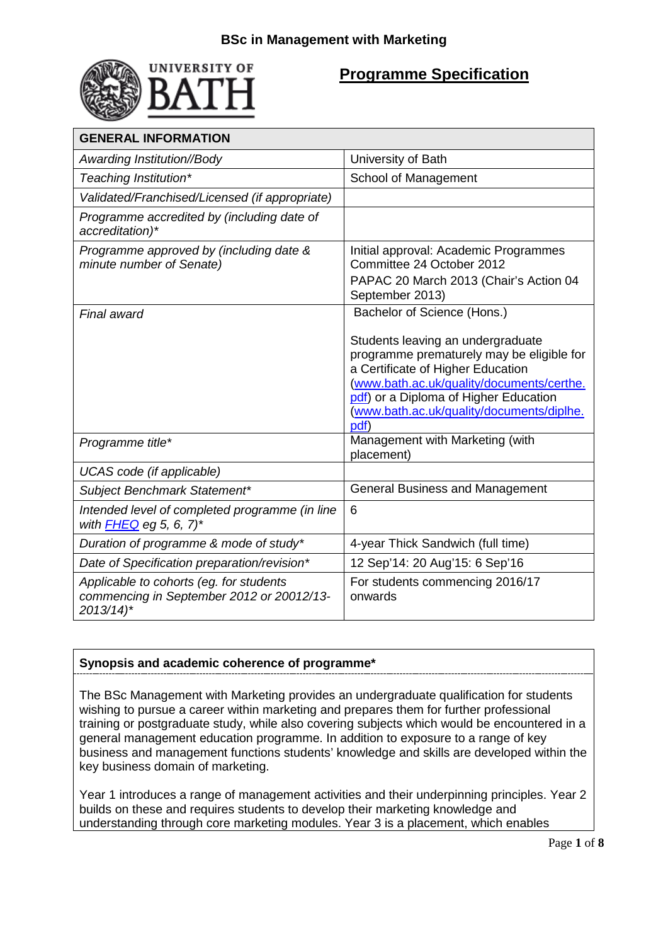

# **Programme Specification**

| <b>GENERAL INFORMATION</b>                                                                                     |                                                                                                                                                                                                                                                                |
|----------------------------------------------------------------------------------------------------------------|----------------------------------------------------------------------------------------------------------------------------------------------------------------------------------------------------------------------------------------------------------------|
| Awarding Institution//Body                                                                                     | University of Bath                                                                                                                                                                                                                                             |
| Teaching Institution*                                                                                          | School of Management                                                                                                                                                                                                                                           |
| Validated/Franchised/Licensed (if appropriate)                                                                 |                                                                                                                                                                                                                                                                |
| Programme accredited by (including date of<br>accreditation)*                                                  |                                                                                                                                                                                                                                                                |
| Programme approved by (including date &<br>minute number of Senate)                                            | Initial approval: Academic Programmes<br>Committee 24 October 2012<br>PAPAC 20 March 2013 (Chair's Action 04<br>September 2013)                                                                                                                                |
| Final award                                                                                                    | Bachelor of Science (Hons.)                                                                                                                                                                                                                                    |
|                                                                                                                | Students leaving an undergraduate<br>programme prematurely may be eligible for<br>a Certificate of Higher Education<br>(www.bath.ac.uk/quality/documents/certhe.<br>pdf) or a Diploma of Higher Education<br>(www.bath.ac.uk/quality/documents/diplhe.<br>pdf) |
| Programme title*                                                                                               | Management with Marketing (with<br>placement)                                                                                                                                                                                                                  |
| UCAS code (if applicable)                                                                                      |                                                                                                                                                                                                                                                                |
| Subject Benchmark Statement*                                                                                   | <b>General Business and Management</b>                                                                                                                                                                                                                         |
| Intended level of completed programme (in line<br>with $FHEQ$ eg 5, 6, 7)*                                     | 6                                                                                                                                                                                                                                                              |
| Duration of programme & mode of study*                                                                         | 4-year Thick Sandwich (full time)                                                                                                                                                                                                                              |
| Date of Specification preparation/revision*                                                                    | 12 Sep'14: 20 Aug'15: 6 Sep'16                                                                                                                                                                                                                                 |
| Applicable to cohorts (eg. for students<br>commencing in September 2012 or 20012/13-<br>$2013/14$ <sup>*</sup> | For students commencing 2016/17<br>onwards                                                                                                                                                                                                                     |

# **Synopsis and academic coherence of programme\***

The BSc Management with Marketing provides an undergraduate qualification for students wishing to pursue a career within marketing and prepares them for further professional training or postgraduate study, while also covering subjects which would be encountered in a general management education programme. In addition to exposure to a range of key business and management functions students' knowledge and skills are developed within the key business domain of marketing.

Year 1 introduces a range of management activities and their underpinning principles. Year 2 builds on these and requires students to develop their marketing knowledge and understanding through core marketing modules. Year 3 is a placement, which enables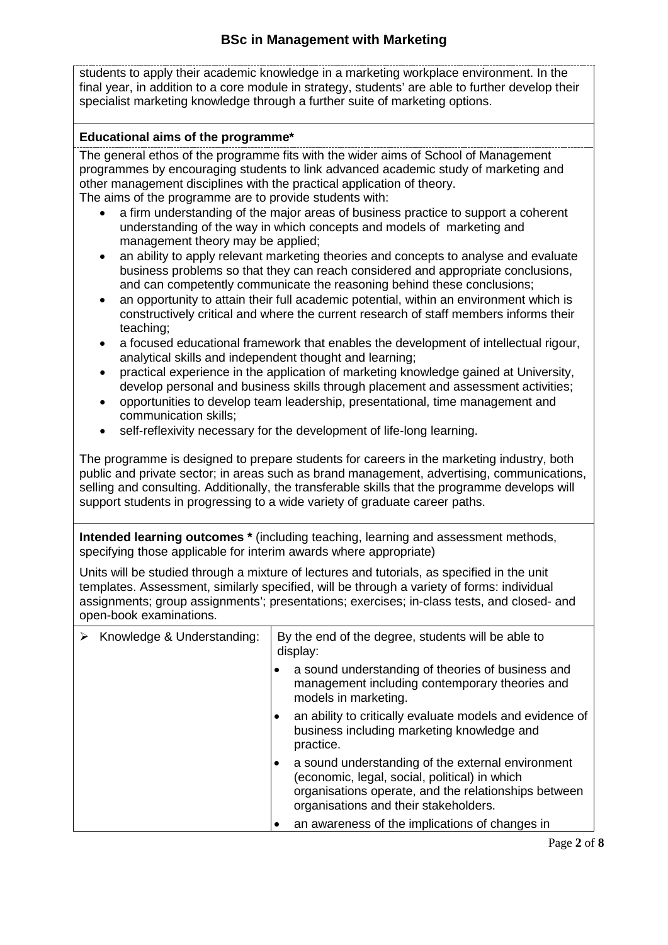students to apply their academic knowledge in a marketing workplace environment. In the final year, in addition to a core module in strategy, students' are able to further develop their specialist marketing knowledge through a further suite of marketing options.

#### **Educational aims of the programme\***

The general ethos of the programme fits with the wider aims of School of Management programmes by encouraging students to link advanced academic study of marketing and other management disciplines with the practical application of theory. The aims of the programme are to provide students with:

- a firm understanding of the major areas of business practice to support a coherent understanding of the way in which concepts and models of marketing and management theory may be applied;
- an ability to apply relevant marketing theories and concepts to analyse and evaluate business problems so that they can reach considered and appropriate conclusions, and can competently communicate the reasoning behind these conclusions;
- an opportunity to attain their full academic potential, within an environment which is constructively critical and where the current research of staff members informs their teaching;
- a focused educational framework that enables the development of intellectual rigour, analytical skills and independent thought and learning;
- practical experience in the application of marketing knowledge gained at University, develop personal and business skills through placement and assessment activities;
- opportunities to develop team leadership, presentational, time management and communication skills;
- self-reflexivity necessary for the development of life-long learning.

The programme is designed to prepare students for careers in the marketing industry, both public and private sector; in areas such as brand management, advertising, communications, selling and consulting. Additionally, the transferable skills that the programme develops will support students in progressing to a wide variety of graduate career paths.

**Intended learning outcomes \*** (including teaching, learning and assessment methods, specifying those applicable for interim awards where appropriate)

Units will be studied through a mixture of lectures and tutorials, as specified in the unit templates. Assessment, similarly specified, will be through a variety of forms: individual assignments; group assignments'; presentations; exercises; in-class tests, and closed- and open-book examinations.

| Knowledge & Understanding: | By the end of the degree, students will be able to<br>display: |                                                                                                                                                                                                     |
|----------------------------|----------------------------------------------------------------|-----------------------------------------------------------------------------------------------------------------------------------------------------------------------------------------------------|
|                            |                                                                | a sound understanding of theories of business and<br>management including contemporary theories and<br>models in marketing.                                                                         |
|                            |                                                                | an ability to critically evaluate models and evidence of<br>business including marketing knowledge and<br>practice.                                                                                 |
|                            |                                                                | a sound understanding of the external environment<br>(economic, legal, social, political) in which<br>organisations operate, and the relationships between<br>organisations and their stakeholders. |
|                            |                                                                | an awareness of the implications of changes in                                                                                                                                                      |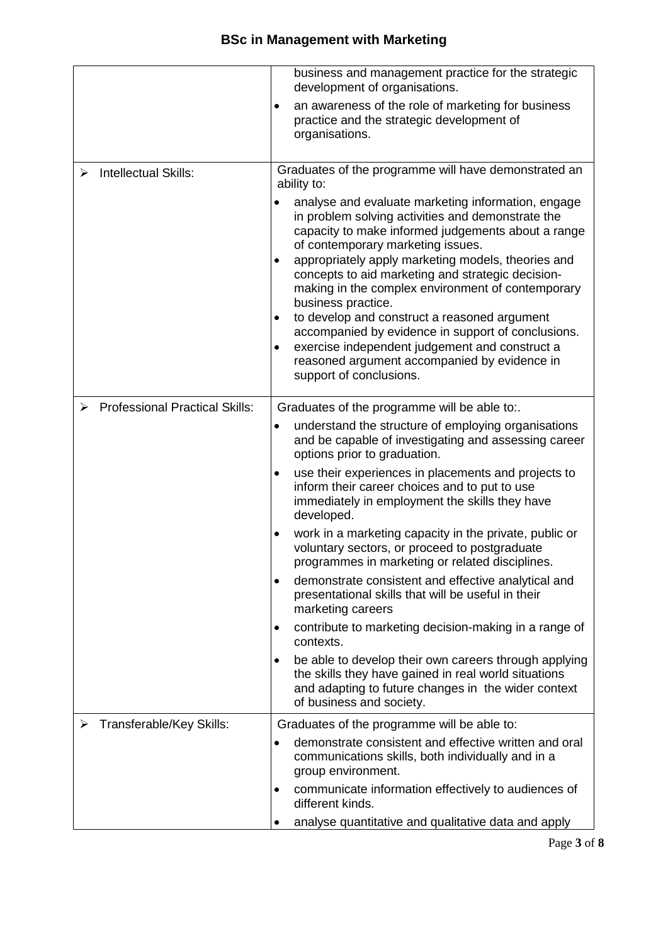|   |                                       |                                                                     | business and management practice for the strategic<br>development of organisations.                                                                                                                                                                                                                                                                                                      |
|---|---------------------------------------|---------------------------------------------------------------------|------------------------------------------------------------------------------------------------------------------------------------------------------------------------------------------------------------------------------------------------------------------------------------------------------------------------------------------------------------------------------------------|
|   |                                       | ٠                                                                   | an awareness of the role of marketing for business<br>practice and the strategic development of<br>organisations.                                                                                                                                                                                                                                                                        |
| ⋗ | Intellectual Skills:                  | Graduates of the programme will have demonstrated an<br>ability to: |                                                                                                                                                                                                                                                                                                                                                                                          |
|   |                                       |                                                                     | analyse and evaluate marketing information, engage<br>in problem solving activities and demonstrate the<br>capacity to make informed judgements about a range<br>of contemporary marketing issues.<br>appropriately apply marketing models, theories and<br>concepts to aid marketing and strategic decision-<br>making in the complex environment of contemporary<br>business practice. |
|   |                                       | ٠                                                                   | to develop and construct a reasoned argument<br>accompanied by evidence in support of conclusions.<br>exercise independent judgement and construct a<br>reasoned argument accompanied by evidence in<br>support of conclusions.                                                                                                                                                          |
|   | <b>Professional Practical Skills:</b> |                                                                     | Graduates of the programme will be able to:.                                                                                                                                                                                                                                                                                                                                             |
|   |                                       | $\bullet$                                                           | understand the structure of employing organisations<br>and be capable of investigating and assessing career<br>options prior to graduation.                                                                                                                                                                                                                                              |
|   |                                       | ٠                                                                   | use their experiences in placements and projects to<br>inform their career choices and to put to use<br>immediately in employment the skills they have<br>developed.                                                                                                                                                                                                                     |
|   |                                       |                                                                     | work in a marketing capacity in the private, public or<br>voluntary sectors, or proceed to postgraduate<br>programmes in marketing or related disciplines.                                                                                                                                                                                                                               |
|   |                                       | ٠                                                                   | demonstrate consistent and effective analytical and<br>presentational skills that will be useful in their<br>marketing careers                                                                                                                                                                                                                                                           |
|   |                                       | ٠                                                                   | contribute to marketing decision-making in a range of<br>contexts.                                                                                                                                                                                                                                                                                                                       |
|   |                                       | $\bullet$                                                           | be able to develop their own careers through applying<br>the skills they have gained in real world situations<br>and adapting to future changes in the wider context<br>of business and society.                                                                                                                                                                                         |
|   | Transferable/Key Skills:              |                                                                     | Graduates of the programme will be able to:                                                                                                                                                                                                                                                                                                                                              |
|   |                                       |                                                                     | demonstrate consistent and effective written and oral<br>communications skills, both individually and in a<br>group environment.                                                                                                                                                                                                                                                         |
|   |                                       |                                                                     | communicate information effectively to audiences of<br>different kinds.                                                                                                                                                                                                                                                                                                                  |
|   |                                       |                                                                     | analyse quantitative and qualitative data and apply                                                                                                                                                                                                                                                                                                                                      |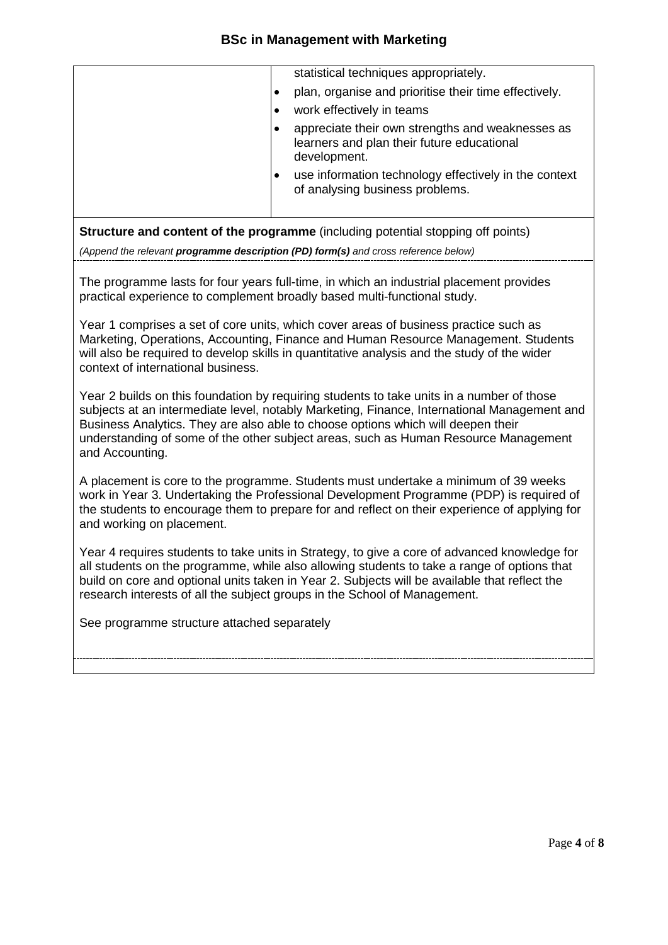|  | statistical techniques appropriately.                                                                          |
|--|----------------------------------------------------------------------------------------------------------------|
|  | plan, organise and prioritise their time effectively.                                                          |
|  | work effectively in teams                                                                                      |
|  | appreciate their own strengths and weaknesses as<br>learners and plan their future educational<br>development. |
|  | use information technology effectively in the context<br>of analysing business problems.                       |
|  |                                                                                                                |

**Structure and content of the programme** (including potential stopping off points)

*(Append the relevant programme description (PD) form(s) and cross reference below)*

The programme lasts for four years full-time, in which an industrial placement provides practical experience to complement broadly based multi-functional study.

Year 1 comprises a set of core units, which cover areas of business practice such as Marketing, Operations, Accounting, Finance and Human Resource Management. Students will also be required to develop skills in quantitative analysis and the study of the wider context of international business.

Year 2 builds on this foundation by requiring students to take units in a number of those subjects at an intermediate level, notably Marketing, Finance, International Management and Business Analytics. They are also able to choose options which will deepen their understanding of some of the other subject areas, such as Human Resource Management and Accounting.

A placement is core to the programme. Students must undertake a minimum of 39 weeks work in Year 3. Undertaking the Professional Development Programme (PDP) is required of the students to encourage them to prepare for and reflect on their experience of applying for and working on placement.

Year 4 requires students to take units in Strategy, to give a core of advanced knowledge for all students on the programme, while also allowing students to take a range of options that build on core and optional units taken in Year 2. Subjects will be available that reflect the research interests of all the subject groups in the School of Management.

See programme structure attached separately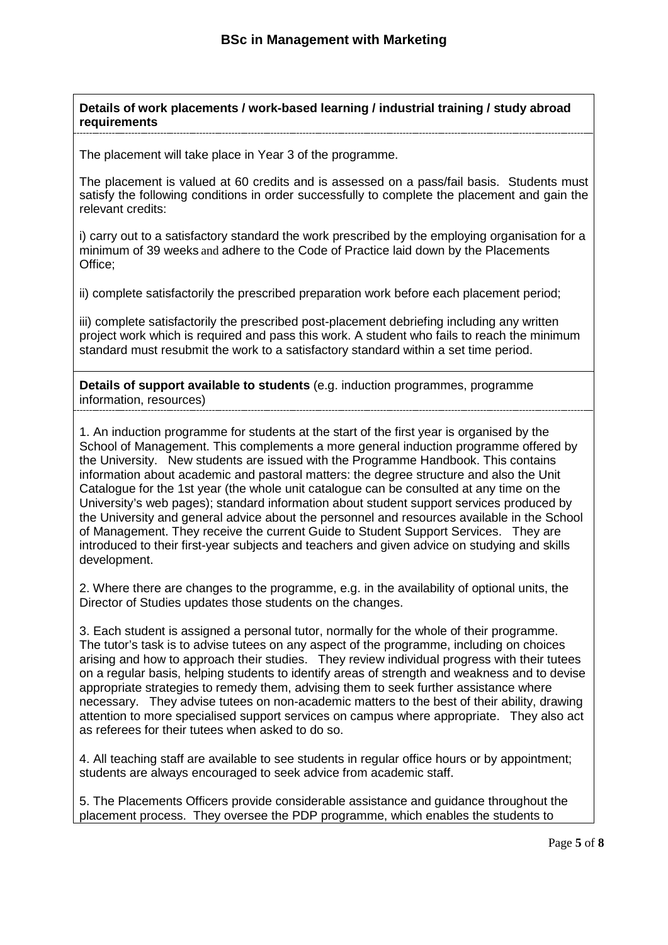#### **Details of work placements / work-based learning / industrial training / study abroad requirements**

The placement will take place in Year 3 of the programme.

The placement is valued at 60 credits and is assessed on a pass/fail basis. Students must satisfy the following conditions in order successfully to complete the placement and gain the relevant credits:

i) carry out to a satisfactory standard the work prescribed by the employing organisation for a minimum of 39 weeks and adhere to the Code of Practice laid down by the Placements Office;

ii) complete satisfactorily the prescribed preparation work before each placement period;

iii) complete satisfactorily the prescribed post-placement debriefing including any written project work which is required and pass this work. A student who fails to reach the minimum standard must resubmit the work to a satisfactory standard within a set time period.

**Details of support available to students** (e.g. induction programmes, programme information, resources)

1. An induction programme for students at the start of the first year is organised by the School of Management. This complements a more general induction programme offered by the University. New students are issued with the Programme Handbook. This contains information about academic and pastoral matters: the degree structure and also the Unit Catalogue for the 1st year (the whole unit catalogue can be consulted at any time on the University's web pages); standard information about student support services produced by the University and general advice about the personnel and resources available in the School of Management. They receive the current Guide to Student Support Services. They are introduced to their first-year subjects and teachers and given advice on studying and skills development.

2. Where there are changes to the programme, e.g. in the availability of optional units, the Director of Studies updates those students on the changes.

3. Each student is assigned a personal tutor, normally for the whole of their programme. The tutor's task is to advise tutees on any aspect of the programme, including on choices arising and how to approach their studies. They review individual progress with their tutees on a regular basis, helping students to identify areas of strength and weakness and to devise appropriate strategies to remedy them, advising them to seek further assistance where necessary. They advise tutees on non-academic matters to the best of their ability, drawing attention to more specialised support services on campus where appropriate. They also act as referees for their tutees when asked to do so.

4. All teaching staff are available to see students in regular office hours or by appointment; students are always encouraged to seek advice from academic staff.

5. The Placements Officers provide considerable assistance and guidance throughout the placement process. They oversee the PDP programme, which enables the students to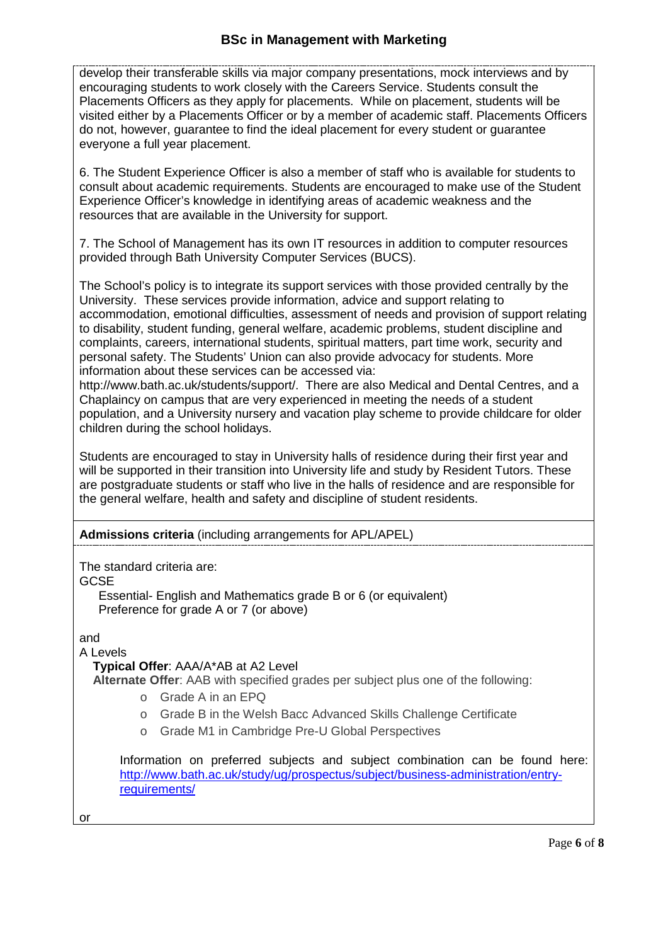develop their transferable skills via major company presentations, mock interviews and by encouraging students to work closely with the Careers Service. Students consult the Placements Officers as they apply for placements. While on placement, students will be visited either by a Placements Officer or by a member of academic staff. Placements Officers do not, however, guarantee to find the ideal placement for every student or guarantee everyone a full year placement.

6. The Student Experience Officer is also a member of staff who is available for students to consult about academic requirements. Students are encouraged to make use of the Student Experience Officer's knowledge in identifying areas of academic weakness and the resources that are available in the University for support.

7. The School of Management has its own IT resources in addition to computer resources provided through Bath University Computer Services (BUCS).

The School's policy is to integrate its support services with those provided centrally by the University. These services provide information, advice and support relating to accommodation, emotional difficulties, assessment of needs and provision of support relating to disability, student funding, general welfare, academic problems, student discipline and complaints, careers, international students, spiritual matters, part time work, security and personal safety. The Students' Union can also provide advocacy for students. More information about these services can be accessed via:

http://www.bath.ac.uk/students/support/. There are also Medical and Dental Centres, and a Chaplaincy on campus that are very experienced in meeting the needs of a student population, and a University nursery and vacation play scheme to provide childcare for older children during the school holidays.

Students are encouraged to stay in University halls of residence during their first year and will be supported in their transition into University life and study by Resident Tutors. These are postgraduate students or staff who live in the halls of residence and are responsible for the general welfare, health and safety and discipline of student residents.

**Admissions criteria** (including arrangements for APL/APEL)

The standard criteria are:

GCSE

Essential- English and Mathematics grade B or 6 (or equivalent) Preference for grade A or 7 (or above)

and

A Levels

**Typical Offer**: AAA/A\*AB at A2 Level

**Alternate Offer**: AAB with specified grades per subject plus one of the following:

- o Grade A in an EPQ
- o Grade B in the Welsh Bacc Advanced Skills Challenge Certificate
- o Grade M1 in Cambridge Pre-U Global Perspectives

Information on preferred subjects and subject combination can be found here: [http://www.bath.ac.uk/study/ug/prospectus/subject/business-administration/entry](http://www.bath.ac.uk/study/ug/prospectus/subject/business-administration/entry-requirements/)[requirements/](http://www.bath.ac.uk/study/ug/prospectus/subject/business-administration/entry-requirements/)

or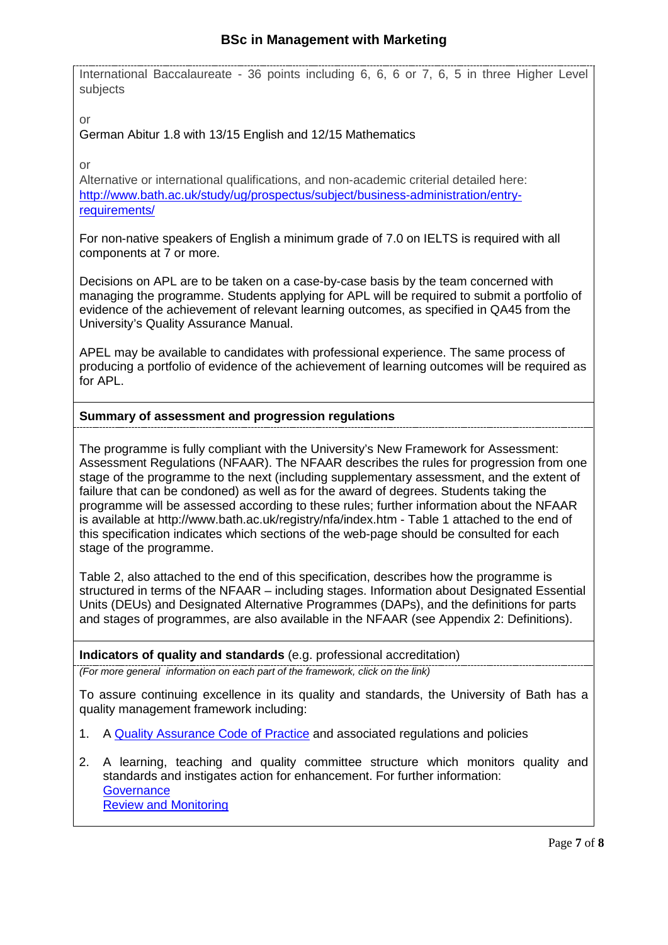International Baccalaureate - 36 points including 6, 6, 6 or 7, 6, 5 in three Higher Level subjects

or

German Abitur 1.8 with 13/15 English and 12/15 Mathematics

or

Alternative or international qualifications, and non-academic criterial detailed here: [http://www.bath.ac.uk/study/ug/prospectus/subject/business-administration/entry](http://www.bath.ac.uk/study/ug/prospectus/subject/business-administration/entry-requirements/)[requirements/](http://www.bath.ac.uk/study/ug/prospectus/subject/business-administration/entry-requirements/)

For non-native speakers of English a minimum grade of 7.0 on IELTS is required with all components at 7 or more.

Decisions on APL are to be taken on a case-by-case basis by the team concerned with managing the programme. Students applying for APL will be required to submit a portfolio of evidence of the achievement of relevant learning outcomes, as specified in QA45 from the University's Quality Assurance Manual.

APEL may be available to candidates with professional experience. The same process of producing a portfolio of evidence of the achievement of learning outcomes will be required as for APL.

# **Summary of assessment and progression regulations**

The programme is fully compliant with the University's New Framework for Assessment: Assessment Regulations (NFAAR). The NFAAR describes the rules for progression from one stage of the programme to the next (including supplementary assessment, and the extent of failure that can be condoned) as well as for the award of degrees. Students taking the programme will be assessed according to these rules; further information about the NFAAR is available at http://www.bath.ac.uk/registry/nfa/index.htm - Table 1 attached to the end of this specification indicates which sections of the web-page should be consulted for each stage of the programme.

Table 2, also attached to the end of this specification, describes how the programme is structured in terms of the NFAAR – including stages. Information about Designated Essential Units (DEUs) and Designated Alternative Programmes (DAPs), and the definitions for parts and stages of programmes, are also available in the NFAAR (see Appendix 2: Definitions).

#### **Indicators of quality and standards** (e.g. professional accreditation)

*(For more general information on each part of the framework, click on the link)*

To assure continuing excellence in its quality and standards, the University of Bath has a quality management framework including:

- 1. A [Quality Assurance Code](http://www.bath.ac.uk/quality/cop/statements.html) of Practice and associated regulations and policies
- 2. A learning, teaching and quality committee structure which monitors quality and standards and instigates action for enhancement. For further information: **[Governance](http://www.bath.ac.uk/quality/documents/QA3-PS-Guid-QS-Gov.docx)** [Review and Monitoring](http://www.bath.ac.uk/quality/documents/QA3-PS-Guid-QS-RevMon.docx)